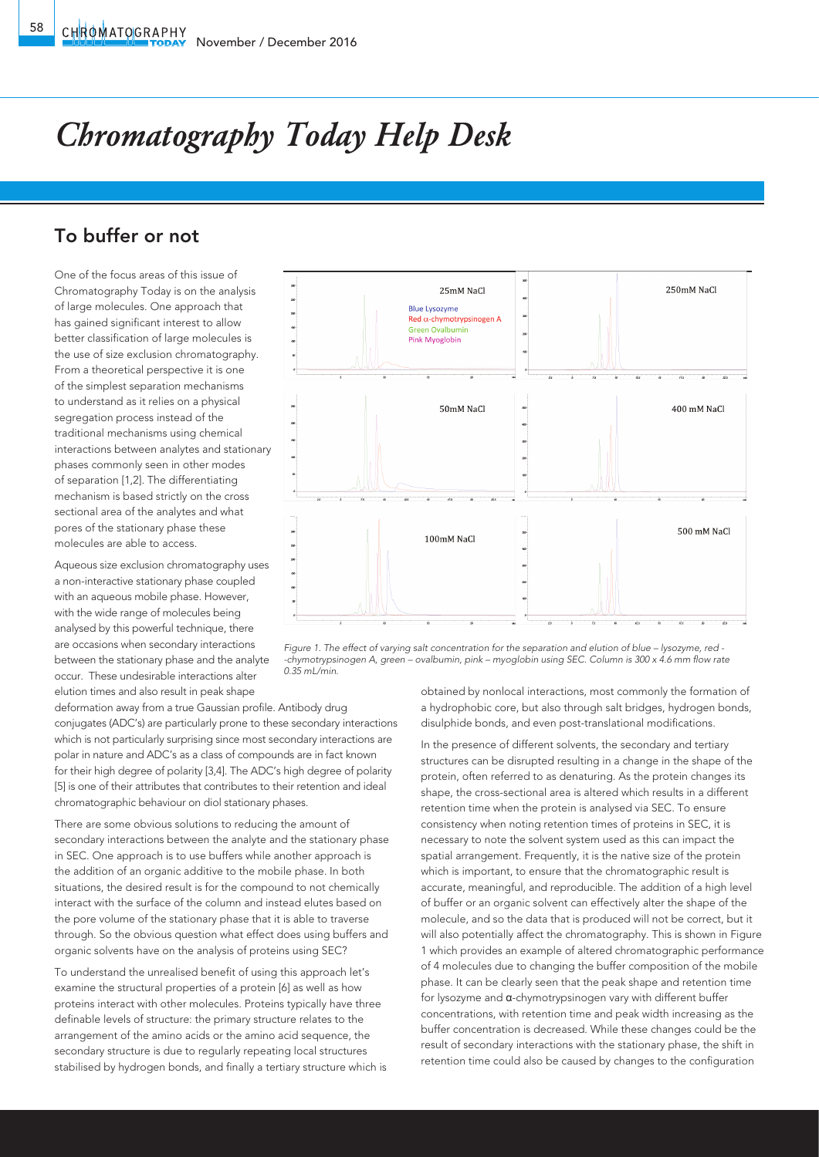## *Chromatography Today Help Desk*

## To buffer or not

One of the focus areas of this issue of Chromatography Today is on the analysis of large molecules. One approach that has gained significant interest to allow better classification of large molecules is the use of size exclusion chromatography. From a theoretical perspective it is one of the simplest separation mechanisms to understand as it relies on a physical segregation process instead of the traditional mechanisms using chemical interactions between analytes and stationary phases commonly seen in other modes of separation [1,2]. The differentiating mechanism is based strictly on the cross sectional area of the analytes and what pores of the stationary phase these molecules are able to access.

Aqueous size exclusion chromatography uses a non-interactive stationary phase coupled with an aqueous mobile phase. However, with the wide range of molecules being analysed by this powerful technique, there are occasions when secondary interactions between the stationary phase and the analyte occur. These undesirable interactions alter elution times and also result in peak shape

deformation away from a true Gaussian profile. Antibody drug conjugates (ADC's) are particularly prone to these secondary interactions which is not particularly surprising since most secondary interactions are polar in nature and ADC's as a class of compounds are in fact known for their high degree of polarity [3,4]. The ADC's high degree of polarity [5] is one of their attributes that contributes to their retention and ideal chromatographic behaviour on diol stationary phases.

There are some obvious solutions to reducing the amount of secondary interactions between the analyte and the stationary phase in SEC. One approach is to use buffers while another approach is the addition of an organic additive to the mobile phase. In both situations, the desired result is for the compound to not chemically interact with the surface of the column and instead elutes based on the pore volume of the stationary phase that it is able to traverse through. So the obvious question what effect does using buffers and organic solvents have on the analysis of proteins using SEC?

To understand the unrealised benefit of using this approach let's examine the structural properties of a protein [6] as well as how proteins interact with other molecules. Proteins typically have three definable levels of structure: the primary structure relates to the arrangement of the amino acids or the amino acid sequence, the secondary structure is due to regularly repeating local structures stabilised by hydrogen bonds, and finally a tertiary structure which is



*Figure 1. The effect of varying salt concentration for the separation and elution of blue – lysozyme, red --chymotrypsinogen A, green – ovalbumin, pink – myoglobin using SEC. Column is 300 x 4.6 mm flow rate 0.35 mL/min.*

obtained by nonlocal interactions, most commonly the formation of a hydrophobic core, but also through salt bridges, hydrogen bonds, disulphide bonds, and even post-translational modifications.

In the presence of different solvents, the secondary and tertiary structures can be disrupted resulting in a change in the shape of the protein, often referred to as denaturing. As the protein changes its shape, the cross-sectional area is altered which results in a different retention time when the protein is analysed via SEC. To ensure consistency when noting retention times of proteins in SEC, it is necessary to note the solvent system used as this can impact the spatial arrangement. Frequently, it is the native size of the protein which is important, to ensure that the chromatographic result is accurate, meaningful, and reproducible. The addition of a high level of buffer or an organic solvent can effectively alter the shape of the molecule, and so the data that is produced will not be correct, but it will also potentially affect the chromatography. This is shown in Figure 1 which provides an example of altered chromatographic performance of 4 molecules due to changing the buffer composition of the mobile phase. It can be clearly seen that the peak shape and retention time for lysozyme and α-chymotrypsinogen vary with different buffer concentrations, with retention time and peak width increasing as the buffer concentration is decreased. While these changes could be the result of secondary interactions with the stationary phase, the shift in retention time could also be caused by changes to the configuration